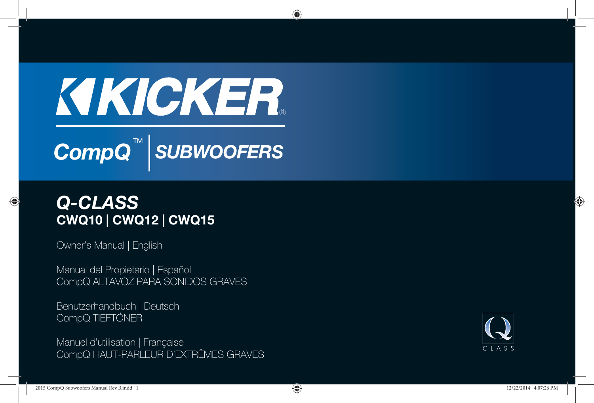# KIKICKER

 $\bm{\mathsf{CompQ}}^{\mathsf{\tiny{TM}}}|\bm{\mathsf{SUBWOOFERS}}$ 

# *Q-CLASS* **CWQ10 | CWQ12 | CWQ15**

Owner's Manual | English

⊕

Manual del Propietario | Español CompQ ALTAVOZ PARA SONIDOS GRAVES

Benutzerhandbuch | Deutsch CompQ TIEFTÖNER

Manuel d'utilisation | Française CompQ HAUT-PARLEUR D'EXTRÊMES GRAVES

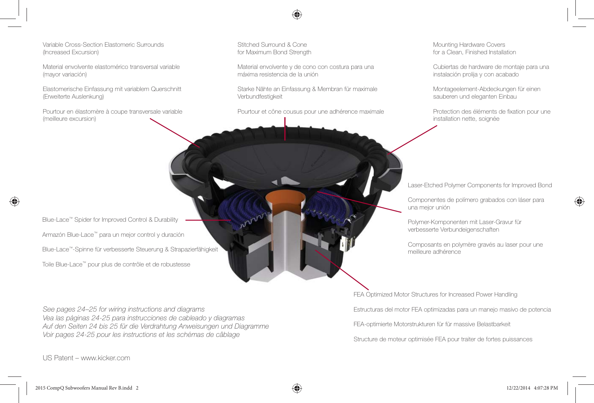Variable Cross-Section Elastomeric Surrounds (Increased Excursion)

Material envolvente elastomérico transversal variable (mayor variación)

Elastomerische Einfassung mit variablem Querschnitt (Erweiterte Auslenkung)

Pourtour en élastomère à coupe transversale variable (meilleure excursion)

Stitched Surround & Conefor Maximum Bond Strength

Material envolvente y de cono con costura para una máxima resistencia de la unión

Starke Nähte an Einfassung & Membran für maximale Verbundfestigkeit

Pourtour et cône cousus pour une adhérence maximale

Mounting Hardware Covers for a Clean, Finished Installation

Cubiertas de hardware de montaje para una instalación prolija y con acabado

Montageelement-Abdeckungen für einen sauberen und eleganten Einbau

Protection des éléments de fixation pour une installation nette, soignée

Laser-Etched Polymer Components for Improved Bond

Componentes de polímero grabados con láser para una mejor unión

Polymer-Komponenten mit Laser-Gravur für verbesserte Verbundeigenschaften

Composants en polymère gravés au laser pour une meilleure adhérence

FEA Optimized Motor Structures for Increased Power Handling

Estructuras del motor FEA optimizadas para un manejo masivo de potencia

FEA-optimierte Motorstrukturen für für massive Belastbarkeit

Structure de moteur optimisée FEA pour traiter de fortes puissances

Blue-Lace™ Spider for Improved Control & Durability Armazón Blue-Lace™ para un mejor control y duración Blue-Lace™-Spinne für verbesserte Steuerung & Strapazierfähigkeit Toile Blue-Lace™ pour plus de contrôle et de robustesse

See pages 24–25 for wiring instructions and diagrams Vea las páginas 24-25 para instrucciones de cableado y diagramas Auf den Seiten 24 bis 25 für die Verdrahtung Anweisungen und Diagramme Voir pages 24-25 pour les instructions et les schémas de câblage

US Patent – www.kicker.com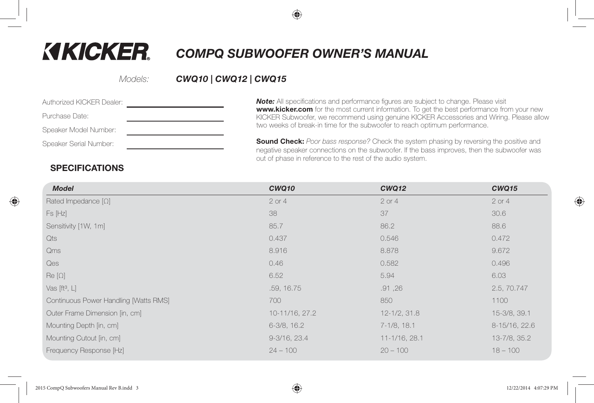

# **KIKICKER.**

*COMPQ SUBWOOFER OWNER'S MANUAL*

Models:

# *CWQ10 | CWQ12 | CWQ15*

| Authorized KICKER Dealer: |  |
|---------------------------|--|
| Purchase Date:            |  |
| Speaker Model Number:     |  |
| Speaker Serial Number:    |  |

**Note:** All specifications and performance figures are subject to change. Please visit **www.kicker.com** for the most current information. To get the best performance from your new KICKER Subwoofer, we recommend using genuine KICKER Accessories and Wiring. Please allow two weeks of break-in time for the subwoofer to reach optimum performance.

**Sound Check:** Poor bass response? Check the system phasing by reversing the positive and negative speaker connections on the subwoofer. If the bass improves, then the subwoofer was out of phase in reference to the rest of the audio system.

### **SPECIFICATIONS**

⊕

| CWQ10             | <b>CWQ12</b>  | <b>CWQ15</b>  |
|-------------------|---------------|---------------|
| $2$ or $4$        | $2$ or $4$    | $2$ or $4$    |
| 38                | 37            | 30.6          |
| 85.7              | 86.2          | 88.6          |
| 0.437             | 0.546         | 0.472         |
| 8.916             | 8.878         | 9.672         |
| 0.46              | 0.582         | 0.496         |
| 6.52              | 5.94          | 6.03          |
| .59, 16.75        | .91, 26       | 2.5, 70.747   |
| 700               | 850           | 1100          |
| 10-11/16, 27.2    | 12-1/2, 31.8  | 15-3/8, 39.1  |
| $6 - 3/8$ , 16.2  | $7-1/8, 18.1$ | 8-15/16, 22.6 |
| $9 - 3/16$ , 23.4 | 11-1/16, 28.1 | 13-7/8, 35.2  |
| $24 - 100$        | $20 - 100$    | $18 - 100$    |
|                   |               |               |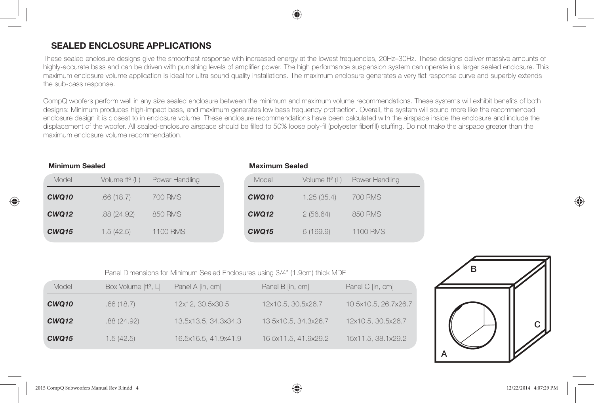

# **SEALED ENCLOSURE APPLICATIONS**

These sealed enclosure designs give the smoothest response with increased energy at the lowest frequencies, 20Hz–30Hz. These designs deliver massive amounts of highly-accurate bass and can be driven with punishing levels of amplifier power. The high performance suspension system can operate in a larger sealed enclosure. This maximum enclosure volume application is ideal for ultra sound quality installations. The maximum enclosure generates a very flat response curve and superbly extends the sub-bass response.

CompQ woofers perform well in any size sealed enclosure between the minimum and maximum volume recommendations. These systems will exhibit benefits of both designs: Minimum produces high-impact bass, and maximum generates low bass frequency protraction. Overall, the system will sound more like the recommended enclosure design it is closest to in enclosure volume. These enclosure recommendations have been calculated with the airspace inside the enclosure and include the displacement of the woofer. All sealed-enclosure airspace should be filled to 50% loose poly-fil (polyester fiberfill) stuffing. Do not make the airspace greater than the maximum enclosure volume recommendation.

| <b>Minimum Sealed</b> |  |
|-----------------------|--|
|-----------------------|--|

| Model        | Volume $ft^3$ (L) | Power Handling |
|--------------|-------------------|----------------|
| CWQ10        | .66(18.7)         | <b>700 RMS</b> |
| <b>CWQ12</b> | .88 (24.92)       | 850 RMS        |
| <b>CWQ15</b> | 1.5(42.5)         | 1100 RMS       |

#### **Maximum Sealed**

| Model             | Volume $ft^3$ (L) | Power Handling |
|-------------------|-------------------|----------------|
| CWQ <sub>10</sub> | 1.25(35.4)        | 700 RMS        |
| <b>CWQ12</b>      | 2(56.64)          | 850 RMS        |
| CWQ <sub>15</sub> | 6 (169.9)         | 1100 RMS       |

Panel Dimensions for Minimum Sealed Enclosures using 3/4" (1.9cm) thick MDF

| Model             | Box Volume [ft <sup>3</sup> , L] | Panel A [in, cm]     | Panel B [in, cm]     | Panel C [in, cm]     |
|-------------------|----------------------------------|----------------------|----------------------|----------------------|
| CWQ <sub>10</sub> | .66(18.7)                        | 12x12, 30.5x30.5     | 12x10.5, 30.5x26.7   | 10.5x10.5, 26.7x26.7 |
| <b>CWQ12</b>      | .88(24.92)                       | 13.5x13.5, 34.3x34.3 | 13.5x10.5, 34.3x26.7 | 12x10.5, 30.5x26.7   |
| <b>CWQ15</b>      | 1.5(42.5)                        | 16.5x16.5, 41.9x41.9 | 16.5x11.5, 41.9x29.2 | 15x11.5, 38.1x29.2   |



 $\overbrace{\phantom{a}}^{2015}$  CompO Subwoofers Manual Rev B.indd 4  $\overbrace{\phantom{a}}^{12/22/2014}$  4:07:29 PM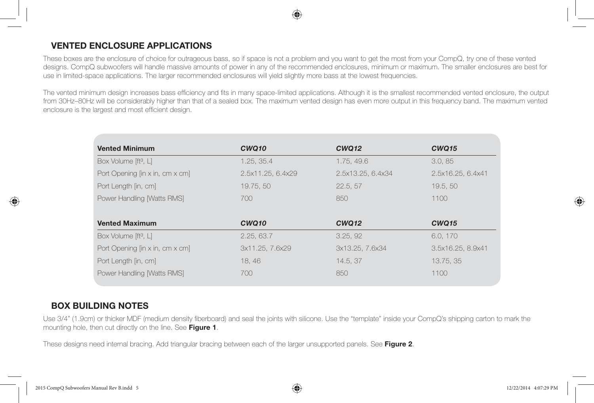

# **VENTED ENCLOSURE APPLICATIONS**

These boxes are the enclosure of choice for outrageous bass, so if space is not a problem and you want to get the most from your CompQ, try one of these vented designs. CompQ subwoofers will handle massive amounts of power in any of the recommended enclosures, minimum or maximum. The smaller enclosures are best for use in limited-space applications. The larger recommended enclosures will yield slightly more bass at the lowest frequencies.

The vented minimum design increases bass efficiency and fits in many space-limited applications. Although it is the smallest recommended vented enclosure, the output from 30Hz–80Hz will be considerably higher than that of a sealed box. The maximum vented design has even more output in this frequency band. The maximum vented enclosure is the largest and most efficient design.

| <b>CWQ10</b>      | <b>CWQ12</b>      | <b>CWQ15</b>      |
|-------------------|-------------------|-------------------|
| 1.25, 35.4        | 1.75, 49.6        | 3.0.85            |
| 2.5x11.25, 6.4x29 | 2.5x13.25, 6.4x34 | 2.5x16.25, 6.4x41 |
| 19.75, 50         | 22.5, 57          | 19.5, 50          |
| 700               | 850               | 1100              |
|                   |                   |                   |
| <b>CWQ10</b>      | <b>CWQ12</b>      | <b>CWQ15</b>      |
| 2.25, 63.7        | 3.25, 92          | 6.0, 170          |
| 3x11.25, 7.6x29   | 3x13.25, 7.6x34   | 3.5x16.25, 8.9x41 |
| 18.46             | 14.5, 37          | 13.75, 35         |
| 700               | 850               | 1100              |
|                   |                   |                   |

# **BOX BUILDING NOTES**

Use 3/4" (1.9cm) or thicker MDF (medium density fiberboard) and seal the joints with silicone. Use the "template" inside your CompQ's shipping carton to mark the mounting hole, then cut directly on the line. See **Figure 1**.

These designs need internal bracing. Add triangular bracing between each of the larger unsupported panels. See **Figure 2**.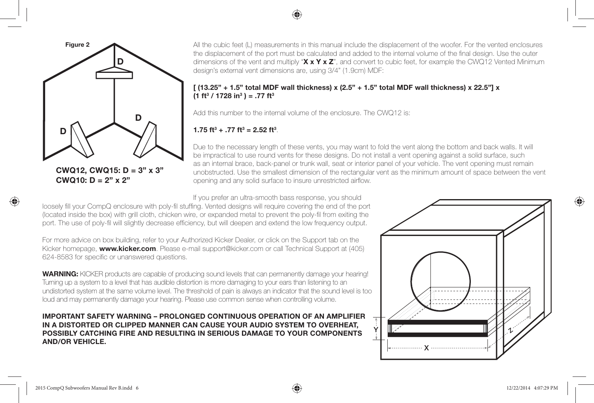

**CWQ12, CWQ15: D = 3" x 3" CWQ10: D = 2" x 2"**

⊕

All the cubic feet (L) measurements in this manual include the displacement of the woofer. For the vented enclosures the displacement of the port must be calculated and added to the internal volume of the final design. Use the outer dimensions of the vent and multiply "**X x Y x Z**", and convert to cubic feet, for example the CWQ12 Vented Minimum design's external vent dimensions are, using 3/4" (1.9cm) MDF:

#### **[ (13.25" + 1.5" total MDF wall thickness) x (2.5" + 1.5" total MDF wall thickness) x 22.5"] x (1 ft3 / 1728 in3 ) = .77 ft3**

Add this number to the internal volume of the enclosure. The CWQ12 is:

### **1.75 ft**<sup>3</sup> + .77 ft<sup>3</sup> = 2.52 ft<sup>3</sup>.

Due to the necessary length of these vents, you may want to fold the vent along the bottom and back walls. It will be impractical to use round vents for these designs. Do not install a vent opening against a solid surface, such as an internal brace, back-panel or trunk wall, seat or interior panel of your vehicle. The vent opening must remain unobstructed. Use the smallest dimension of the rectangular vent as the minimum amount of space between the vent opening and any solid surface to insure unrestricted airflow.

If you prefer an ultra-smooth bass response, you should loosely fill your CompQ enclosure with poly-fil stuffing. Vented designs will require covering the end of the port (located inside the box) with grill cloth, chicken wire, or expanded metal to prevent the poly-fi l from exiting the port. The use of poly-fil will slightly decrease efficiency, but will deepen and extend the low frequency output.

For more advice on box building, refer to your Authorized Kicker Dealer, or click on the Support tab on the Kicker homepage, **www.kicker.com**. Please e-mail support@kicker.com or call Technical Support at (405) 624-8583 for specific or unanswered questions.

**WARNING:** KICKER products are capable of producing sound levels that can permanently damage your hearing! Turning up a system to a level that has audible distortion is more damaging to your ears than listening to an undistorted system at the same volume level. The threshold of pain is always an indicator that the sound level is too loud and may permanently damage your hearing. Please use common sense when controlling volume.

**IMPORTANT SAFETY WARNING – PROLONGED CONTINUOUS OPERATION OF AN AMPLIFIER IN A DISTORTED OR CLIPPED MANNER CAN CAUSE YOUR AUDIO SYSTEM TO OVERHEAT, POSSIBLY CATCHING FIRE AND RESULTING IN SERIOUS DAMAGE TO YOUR COMPONENTS AND/OR VEHICLE.**

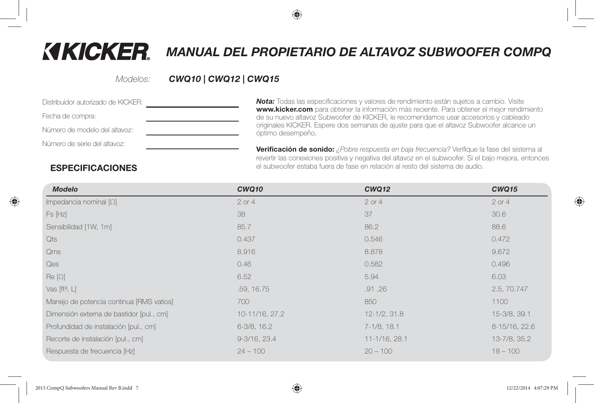# **KIKICKER.**

# *MANUAL DEL PROPIETARIO DE ALTAVOZ SUBWOOFER COMPQ*

# Modelos: *CWQ10 | CWQ12 | CWQ15*

| Distribuidor autorizado de KICKER: | <b>Nota:</b> Todas las especific                                                           |
|------------------------------------|--------------------------------------------------------------------------------------------|
| Fecha de compra:                   | www.kicker.com para<br>de su nuevo altavoz Suby                                            |
| Número de modelo del altavoz:      | originales KICKER. Esper<br>óptimo desempeño.                                              |
| Número de serie del altavoz:       | Verificación de sonido<br>مرامين المرامي مناصر الرازعة المرامين المرامين المراكض ومراريقين |

caciones y valores de rendimiento están sujetos a cambio. Visite obtener la información más reciente. Para obtener el mejor rendimiento woofer de KICKER, le recomendamos usar accesorios y cableado re dos semanas de ajuste para que el altavoz Subwoofer alcance un

**:** *¿Pobre respuesta en baja frecuencia?* Verifique la fase del sistema al revertir las conexiones positiva y negativa del altavoz en el subwoofer. Si el bajo mejora, entonces el subwoofer estaba fuera de fase en relación al resto del sistema de audio.

### **ESPECIFICACIONES**

| <b>Modelo</b>                            | CWQ10             | <b>CWQ12</b>  | <b>CWQ15</b>  |
|------------------------------------------|-------------------|---------------|---------------|
| Impedancia nominal $[\Omega]$            | $2$ or $4$        | $2$ or $4$    | $2$ or $4$    |
| Fs [Hz]                                  | 38                | 37            | 30.6          |
| Sensibilidad [1W, 1m]                    | 85.7              | 86.2          | 88.6          |
| Qts                                      | 0.437             | 0.546         | 0.472         |
| Qms                                      | 8.916             | 8.878         | 9.672         |
| Qes                                      | 0.46              | 0.582         | 0.496         |
| $\text{Re}[\Omega]$                      | 6.52              | 5.94          | 6.03          |
| Vas [ft <sup>3</sup> , $L$ ]             | .59, 16.75        | .91,26        | 2.5, 70.747   |
| Manejo de potencia continua [RMS vatios] | 700               | 850           | 1100          |
| Dimensión externa de bastidor [pul., cm] | 10-11/16, 27.2    | 12-1/2, 31.8  | 15-3/8, 39.1  |
| Profundidad de instalación [pul., cm]    | $6-3/8, 16.2$     | $7-1/8, 18.1$ | 8-15/16, 22.6 |
| Recorte de instalación [pul., cm]        | $9 - 3/16$ , 23.4 | 11-1/16, 28.1 | 13-7/8, 35.2  |
| Respuesta de frecuencia [Hz]             | $24 - 100$        | $20 - 100$    | $18 - 100$    |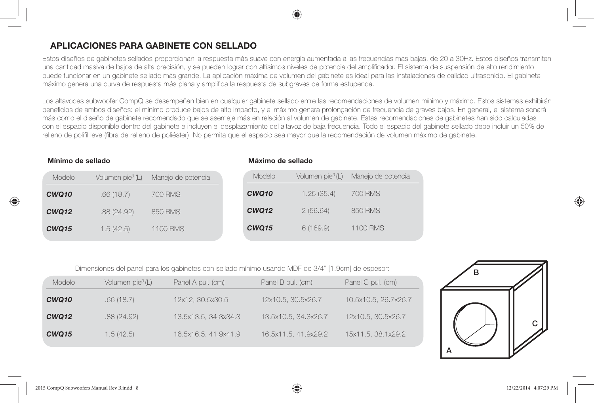# **APLICACIONES PARA GABINETE CON SELLADO**

Estos diseños de gabinetes sellados proporcionan la respuesta más suave con energía aumentada a las frecuencias más bajas, de 20 a 30Hz. Estos diseños transmiten una cantidad masiva de bajos de alta precisión, y se pueden lograr con altísimos niveles de potencia del amplificador. El sistema de suspensión de alto rendimiento puede funcionar en un gabinete sellado más grande. La aplicación máxima de volumen del gabinete es ideal para las instalaciones de calidad ultrasonido. El gabinete máximo genera una curva de respuesta más plana y amplifica la respuesta de subgraves de forma estupenda.

Los altavoces subwoofer CompQ se desempeñan bien en cualquier gabinete sellado entre las recomendaciones de volumen mínimo y máximo. Estos sistemas exhibirán beneficios de ambos diseños: el mínimo produce bajos de alto impacto, y el máximo genera prolongación de frecuencia de graves bajos. En general, el sistema sonará más como el diseño de gabinete recomendado que se asemeje más en relación al volumen de gabinete. Estas recomendaciones de gabinetes han sido calculadas con el espacio disponible dentro del gabinete e incluyen el desplazamiento del altavoz de baja frecuencia. Todo el espacio del gabinete sellado debe incluir un 50% de relleno de polifil leve (fibra de relleno de poliéster). No permita que el espacio sea mayor que la recomendación de volumen máximo de gabinete.

| Mínimo de sellado |                      | Máximo de sellado  |  |              |                      |                    |
|-------------------|----------------------|--------------------|--|--------------|----------------------|--------------------|
| Modelo            | Volumen pie $^3$ (L) | Manejo de potencia |  | Modelo       | Volumen pie $^3$ (L) | Manejo de potencia |
| CWQ <sub>10</sub> | .66(18.7)            | 700 RMS            |  | <b>CWQ10</b> | 1.25(35.4)           | <b>700 RMS</b>     |
| <b>CWQ12</b>      | .88(24.92)           | <b>850 RMS</b>     |  | <b>CWQ12</b> | 2(56.64)             | <b>850 RMS</b>     |
| <b>CWQ15</b>      | 1.5(42.5)            | 1100 RMS           |  | <b>CWQ15</b> | 6(169.9)             | 1100 RMS           |

Dimensiones del panel para los gabinetes con sellado mínimo usando MDF de 3/4" [1.9cm] de espesor:

| Modelo            | Volumen pie $^3$ (L) | Panel A pul. (cm)    | Panel B pul. (cm)    | Panel C pul. (cm)    |
|-------------------|----------------------|----------------------|----------------------|----------------------|
| CWQ <sub>10</sub> | .66(18.7)            | 12x12, 30.5x30.5     | 12x10.5, 30.5x26.7   | 10.5x10.5, 26.7x26.7 |
| <b>CWQ12</b>      | .88(24.92)           | 13.5x13.5, 34.3x34.3 | 13.5x10.5, 34.3x26.7 | 12x10.5, 30.5x26.7   |
| <b>CWQ15</b>      | 1.5(42.5)            | 16.5x16.5, 41.9x41.9 | 16.5x11.5, 41.9x29.2 | 15x11.5, 38.1x29.2   |

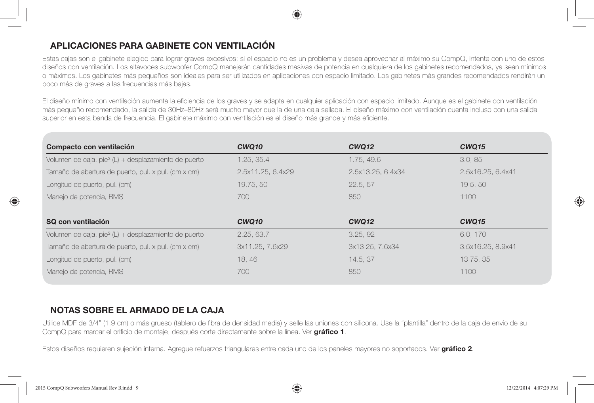

# **APLICACIONES PARA GABINETE CON VENTILACIÓN**

Estas cajas son el gabinete elegido para lograr graves excesivos; si el espacio no es un problema y desea aprovechar al máximo su CompQ, intente con uno de estos diseños con ventilación. Los altavoces subwoofer CompQ manejarán cantidades masivas de potencia en cualquiera de los gabinetes recomendados, ya sean mínimos o máximos. Los gabinetes más pequeños son ideales para ser utilizados en aplicaciones con espacio limitado. Los gabinetes más grandes recomendados rendirán un poco más de graves a las frecuencias más bajas.

El diseño mínimo con ventilación aumenta la eficiencia de los graves y se adapta en cualquier aplicación con espacio limitado. Aunque es el gabinete con ventilación más pequeño recomendado, la salida de 30Hz–80Hz será mucho mayor que la de una caja sellada. El diseño máximo con ventilación cuenta incluso con una salida superior en esta banda de frecuencia. El gabinete máximo con ventilación es el diseño más grande y más eficiente.

| CWQ <sub>10</sub> | CWQ12             | <b>CWQ15</b>      |
|-------------------|-------------------|-------------------|
| 1.25, 35.4        | 1.75, 49.6        | 3.0, 85           |
| 2.5x11.25, 6.4x29 | 2.5x13.25, 6.4x34 | 2.5x16.25, 6.4x41 |
| 19.75, 50         | 22.5, 57          | 19.5, 50          |
| 700               | 850               | 1100              |
|                   |                   |                   |
| CWQ <sub>10</sub> | <b>CWQ12</b>      | <b>CWQ15</b>      |
| 2.25, 63.7        | 3.25.92           | 6.0, 170          |
| 3x11.25, 7.6x29   | 3x13.25, 7.6x34   | 3.5x16.25, 8.9x41 |
| 18.46             | 14.5, 37          | 13.75, 35         |
| 700               | 850               | 1100              |
|                   |                   |                   |

### **NOTAS SOBRE EL ARMADO DE LA CAJA**

Utilice MDF de 3/4" (1.9 cm) o más grueso (tablero de fibra de densidad media) y selle las uniones con silicona. Use la "plantilla" dentro de la caja de envío de su CompQ para marcar el orificio de montaje, después corte directamente sobre la línea. Ver **gráfico 1**.

Estos diseños requieren sujeción interna. Agregue refuerzos triangulares entre cada uno de los paneles mayores no soportados. Ver **gráfi co 2**.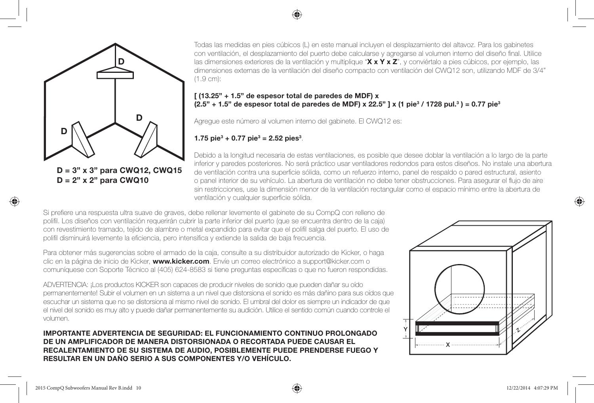

**D = 2" x 2" para CWQ10**

⊕

Todas las medidas en pies cúbicos (L) en este manual incluyen el desplazamiento del altavoz. Para los gabinetes con ventilación, el desplazamiento del puerto debe calcularse y agregarse al volumen interno del diseño final. Utilice las dimensiones exteriores de la ventilación y multiplique "**X x Y x Z**", y conviértalo a pies cúbicos, por ejemplo, las dimensiones externas de la ventilación del diseño compacto con ventilación del CWQ12 son, utilizando MDF de 3/4" (1.9 cm):

#### **[ (13.25" + 1.5" de espesor total de paredes de MDF) x (2.5" + 1.5" de espesor total de paredes de MDF) x 22.5" ] x (1 pie3 / 1728 pul.3 ) = 0.77 pie3**

Agregue este número al volumen interno del gabinete. El CWQ12 es:

### **1.75 pie3 + 0.77 pie3 = 2.52 pies3**.

Debido a la longitud necesaria de estas ventilaciones, es posible que desee doblar la ventilación a lo largo de la parte inferior y paredes posteriores. No será práctico usar ventiladores redondos para estos diseños. No instale una abertura de ventilación contra una superficie sólida, como un refuerzo interno, panel de respaldo o pared estructural, asiento o panel interior de su vehículo. La abertura de ventilación no debe tener obstrucciones. Para asegurar el flujo de aire sin restricciones, use la dimensión menor de la ventilación rectangular como el espacio mínimo entre la abertura de ventilación y cualquier superficie sólida.

Si prefiere una respuesta ultra suave de graves, debe rellenar levemente el gabinete de su CompQ con relleno de polifil. Los diseños con ventilación requerirán cubrir la parte inferior del puerto (que se encuentra dentro de la caja) con revestimiento tramado, tejido de alambre o metal expandido para evitar que el polifil salga del puerto. El uso de polifil disminuirá levemente la eficiencia, pero intensifica y extiende la salida de baja frecuencia.

Para obtener más sugerencias sobre el armado de la caja, consulte a su distribuidor autorizado de Kicker, o haga clic en la página de inicio de Kicker, **www.kicker.com**. Envíe un correo electrónico a support@kicker.com o comuníquese con Soporte Técnico al (405) 624-8583 si tiene preguntas específicas o que no fueron respondidas.

ADVERTENCIA: ¡Los productos KICKER son capaces de producir niveles de sonido que pueden dañar su oído permanentemente! Subir el volumen en un sistema a un nivel que distorsiona el sonido es más dañino para sus oídos que escuchar un sistema que no se distorsiona al mismo nivel de sonido. El umbral del dolor es siempre un indicador de que el nivel del sonido es muy alto y puede dañar permanentemente su audición. Utilice el sentido común cuando controle el volumen.

**IMPORTANTE ADVERTENCIA DE SEGURIDAD: EL FUNCIONAMIENTO CONTINUO PROLONGADO DE UN AMPLIFICADOR DE MANERA DISTORSIONADA O RECORTADA PUEDE CAUSAR EL RECALENTAMIENTO DE SU SISTEMA DE AUDIO, POSIBLEMENTE PUEDE PRENDERSE FUEGO Y RESULTAR EN UN DAÑO SERIO A SUS COMPONENTES Y/O VEHÍCULO.**

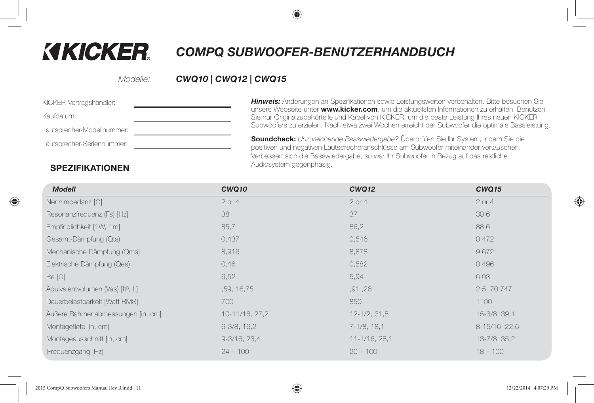

# **KIKICKER.**

*COMPQ SUBWOOFER-BENUTZERHANDBUCH*

Modelle:

# *CWQ10 | CWQ12 | CWQ15*

| KICKER-Vertragshändler:    | <b>Hinweis:</b> Änderungen an Spezifikationen sowie Leistungswerten vorbehalten. Bitte besuchen Sie                                                                                         |
|----------------------------|---------------------------------------------------------------------------------------------------------------------------------------------------------------------------------------------|
| Kaufdatum:                 | unsere Webseite unter www.kicker.com, um die aktuellsten Informationen zu erhalten. Benutzen<br>Sie nur Originalzubehörteile und Kabel von KICKER, um die beste Leistung Ihres neuen KICKER |
| Lautsprecher-Modellnummer: | Subwoofers zu erzielen. Nach etwa zwei Wochen erreicht der Subwoofer die optimale Bassleistung.                                                                                             |
| Lautsprecher-Seriennummer: | Soundcheck: Unzureichende Basswiedergabe? Überprüfen Sie Ihr System, indem Sie die<br>positiven und negativen Lautsprecheranschlüsse am Subwoofer miteinander vertauschen.                  |
|                            | Verbessert sich die Basswiedergabe, so war Ihr Subwoofer in Bezug auf das restliche                                                                                                         |

Audiosystem gegenphasig.

# **SPEZIFIKATIONEN**

♠

| <b>Modell</b>                                 | CWQ10             | <b>CWQ12</b>      | <b>CWQ15</b>  |
|-----------------------------------------------|-------------------|-------------------|---------------|
| Nennimpedanz $[\Omega]$                       | $2$ or $4$        | $2$ or $4$        | $2$ or $4$    |
| Resonanzfrequenz (Fs) [Hz]                    | 38                | 37                | 30,6          |
| Empfindlichkeit [1W, 1m]                      | 85,7              | 86,2              | 88,6          |
| Gesamt-Dämpfung (Qts)                         | 0,437             | 0,546             | 0,472         |
| Mechanische Dämpfung (Qms)                    | 8,916             | 8,878             | 9,672         |
| Elektrische Dämpfung (Qes)                    | 0,46              | 0,582             | 0,496         |
| $\text{Re}[\Omega]$                           | 6,52              | 5,94              | 6,03          |
| Äquivalentyolumen (Vas) [ft <sup>3</sup> , L] | ,59, 16, 75       | ,91,26            | 2,5, 70, 747  |
| Dauerbelastbarkeit [Watt RMS]                 | 700               | 850               | 1100          |
| Äußere Rahmenabmessungen [in, cm]             | 10-11/16, 27, 2   | $12 - 1/2, 31, 8$ | 15-3/8, 39,1  |
| Montagetiefe [in, cm]                         | $6 - 3/8$ , 16, 2 | $7-1/8, 18,1$     | 8-15/16, 22,6 |
| Montageausschnitt [in, cm]                    | $9 - 3/16$ , 23,4 | 11-1/16, 28,1     | 13-7/8, 35,2  |
| Frequenzgang [Hz]                             | $24 - 100$        | $20 - 100$        | $18 - 100$    |
|                                               |                   |                   |               |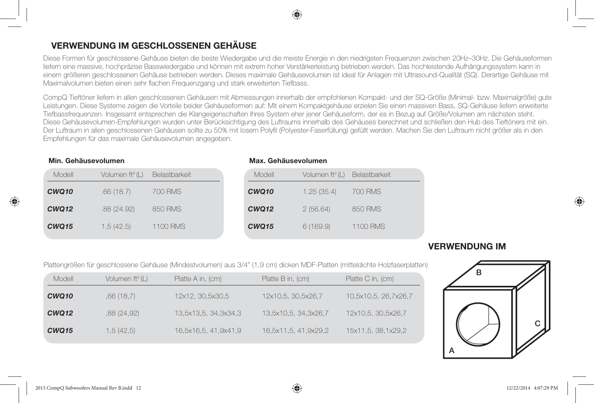# **VERWENDUNG IM GESCHLOSSENEN GEHÄUSE**

Diese Formen für geschlossene Gehäuse bieten die beste Wiedergabe und die meiste Energie in den niedrigsten Frequenzen zwischen 20Hz–30Hz. Die Gehäuseformen liefern eine massive, hochpräzise Basswiedergabe und können mit extrem hoher Verstärkerleistung betrieben werden. Das hochleistende Aufhängungssystem kann in einem größeren geschlossenen Gehäuse betrieben werden. Dieses maximale Gehäusevolumen ist ideal für Anlagen mit Ultrasound-Qualität (SQ). Derartige Gehäuse mit Maximalvolumen bieten einen sehr flachen Frequenzgang und stark erweiterten Tiefbass.

CompQ Tieftöner liefern in allen geschlossenen Gehäusen mit Abmessungen innerhalb der empfohlenen Kompakt- und der SQ-Größe (Minimal- bzw. Maximalgröße) gute Leistungen. Diese Systeme zeigen die Vorteile beider Gehäuseformen auf: Mit einem Kompaktgehäuse erzielen Sie einen massiven Bass, SQ-Gehäuse liefern erweiterte Tiefbassfrequenzen. Insgesamt entsprechen die Klangeigenschaften Ihres System eher jener Gehäuseform, der es in Bezug auf Größe/Volumen am nächsten steht. Diese Gehäusevolumen-Empfehlungen wurden unter Berücksichtigung des Luftraums innerhalb des Gehäuses berechnet und schließen den Hub des Tieftöners mit ein. Der Luftraum in allen geschlossenen Gehäusen sollte zu 50% mit losem Polyfi l (Polyester-Faserfüllung) gefüllt werden. Machen Sie den Luftraum nicht größer als in den Empfehlungen für das maximale Gehäusevolumen angegeben.

| Min. Gehäusevolumen |                   |                | Max. Gehäusevolumen |                   |                |
|---------------------|-------------------|----------------|---------------------|-------------------|----------------|
| Modell              | Volumen $ft^3(L)$ | Belastbarkeit  | Modell              | Volumen $ft^3(L)$ | Belastbarkeit  |
| <b>CWQ10</b>        | .66(18.7)         | <b>700 RMS</b> | <b>CWQ10</b>        | 1.25(35.4)        | <b>700 RMS</b> |
| <b>CWQ12</b>        | .88 (24.92)       | 850 RMS        | <b>CWQ12</b>        | 2(56.64)          | 850 RMS        |
| <b>CWQ15</b>        | 1.5(42.5)         | 1100 RMS       | <b>CWQ15</b>        | 6(169.9)          | 1100 RMS       |



Plattengrößen für geschlossene Gehäuse (Mindestvolumen) aus 3/4" (1,9 cm) dicken MDF-Platten (mitteldichte Holzfaserplatten)

| Modell       | Volumen $ft^3(L)$ | Platte A in, (cm)    | Platte B in, (cm)    | Platte C in, (cm)    |
|--------------|-------------------|----------------------|----------------------|----------------------|
| <b>CWQ10</b> | .66 (18,7)        | 12x12, 30,5x30,5     | 12x10,5, 30,5x26,7   | 10,5x10,5, 26,7x26,7 |
| <b>CWQ12</b> | ,88 (24,92)       | 13,5x13,5, 34,3x34,3 | 13,5x10,5, 34,3x26,7 | 12x10,5, 30,5x26,7   |
| <b>CWQ15</b> | 1,5(42,5)         | 16,5x16,5, 41,9x41,9 | 16,5x11,5, 41,9x29,2 | 15x11,5, 38, 1x29, 2 |

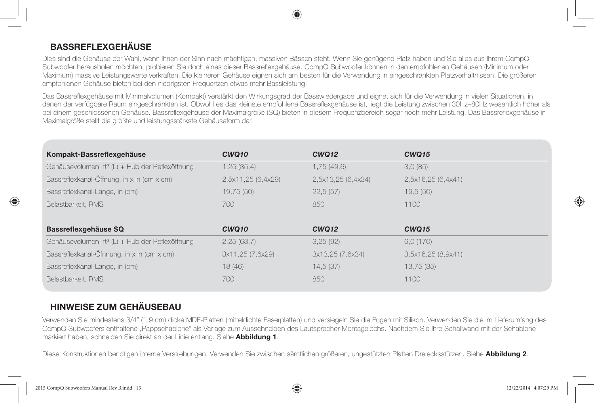

# **BASSREFLEXGEHÄUSE**

Dies sind die Gehäuse der Wahl, wenn Ihnen der Sinn nach mächtigen, massiven Bässen steht. Wenn Sie genügend Platz haben und Sie alles aus Ihrem CompQ Subwoofer herausholen möchten, probieren Sie doch eines dieser Bassreflexgehäuse. CompQ Subwoofer können in den empfohlenen Gehäusen (Minimum oder Maximum) massive Leistungswerte verkraften. Die kleineren Gehäuse eignen sich am besten für die Verwendung in eingeschränkten Platzverhältnissen. Die größeren empfohlenen Gehäuse bieten bei den niedrigsten Frequenzen etwas mehr Bassleistung.

Das Bassreflexgehäuse mit Minimalvolumen (Kompakt) verstärkt den Wirkungsgrad der Basswiedergabe und eignet sich für die Verwendung in vielen Situationen, in denen der verfügbare Raum eingeschränkten ist. Obwohl es das kleinste empfohlene Bassreflexgehäuse ist, liegt die Leistung zwischen 30Hz–80Hz wesentlich höher als bei einem geschlossenen Gehäuse. Bassreflexgehäuse der Maximalgröße (SQ) bieten in diesem Frequenzbereich sogar noch mehr Leistung. Das Bassreflexgehäuse in Maximalgröße stellt die größte und leistungsstärkste Gehäuseform dar.

| CWQ <sub>10</sub>  | <b>CWQ12</b>       | <b>CWQ15</b>       |
|--------------------|--------------------|--------------------|
| 1,25(35,4)         | 1,75(49,6)         | 3.0(85)            |
| 2,5x11,25 (6,4x29) | 2,5x13,25 (6,4x34) | 2,5x16,25 (6,4x41) |
| 19,75 (50)         | 22,5(57)           | 19.5(50)           |
| 700                | 850                | 1100               |
|                    |                    |                    |
| CWQ <sub>10</sub>  | <b>CWQ12</b>       | <b>CWQ15</b>       |
| 2,25(63,7)         | 3,25(92)           | 6.0(170)           |
| 3x11,25 (7,6x29)   | 3x13,25 (7,6x34)   | 3,5x16,25 (8,9x41) |
| 18(46)             | 14,5(37)           | 13,75 (35)         |
| 700                | 850                | 1100               |
|                    |                    |                    |

# **HINWEISE ZUM GEHÄUSEBAU**

Verwenden Sie mindestens 3/4" (1,9 cm) dicke MDF-Platten (mitteldichte Faserplatten) und versiegeln Sie die Fugen mit Silikon. Verwenden Sie die im Lieferumfang des CompQ Subwoofers enthaltene "Pappschablone" als Vorlage zum Ausschneiden des Lautsprecher-Montagelochs. Nachdem Sie Ihre Schallwand mit der Schablone markiert haben, schneiden Sie direkt an der Linie entlang. Siehe **Abbildung 1**.

Diese Konstruktionen benötigen interne Verstrebungen. Verwenden Sie zwischen sämtlichen größeren, ungestützten Platten Dreiecksstützen. Siehe **Abbildung 2**.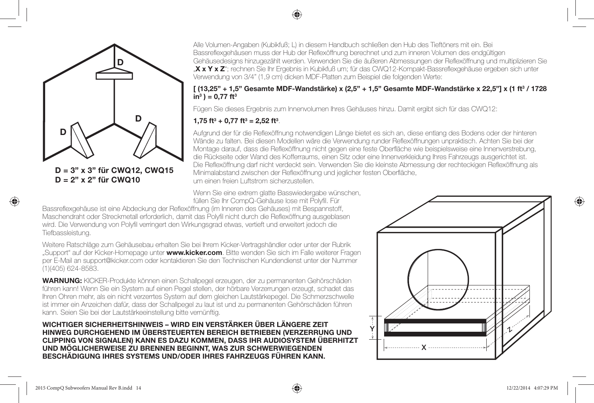

Alle Volumen-Angaben (Kubikfuß; L) in diesem Handbuch schließen den Hub des Tieftöners mit ein. Bei Bassreflexgehäusen muss der Hub der Reflexöffnung berechnet und zum inneren Volumen des endgültigen Gehäusedesigns hinzugezählt werden. Verwenden Sie die äußeren Abmessungen der Reflexöffnung und multiplizieren Sie "X x Y x Z"; rechnen Sie Ihr Ergebnis in Kubikfuß um; für das CWQ12-Kompakt-Bassreflexgehäuse ergeben sich unter Verwendung von 3/4" (1,9 cm) dicken MDF-Platten zum Beispiel die folgenden Werte:

#### **[ (13,25" + 1,5" Gesamte MDF-Wandstärke) x (2,5" + 1,5" Gesamte MDF-Wandstärke x 22,5"] x (1 ft3 / 1728 in3 ) = 0,77 ft3**

Fügen Sie dieses Ergebnis zum Innenvolumen Ihres Gehäuses hinzu. Damit ergibt sich für das CWQ12:

#### **1,75 ft3 + 0,77 ft3 = 2,52 ft3** .

Aufgrund der für die Reflexöffnung notwendigen Länge bietet es sich an, diese entlang des Bodens oder der hinteren Wände zu falten. Bei diesen Modellen wäre die Verwendung runder Reflexöffnungen unpraktisch. Achten Sie bei der Montage darauf, dass die Reflexöffnung nicht gegen eine feste Oberfläche wie beispielsweise eine Innenverstrebung, die Rü ckseite oder Wand des Kofferraums, einen Sitz oder eine Innenverkleidung Ihres Fahrzeugs ausgerichtet ist. Die Reflexöffnung darf nicht verdeckt sein. Verwenden Sie die kleinste Abmessung der rechteckigen Reflexöffnung als Minimalabstand zwischen der Reflexöffnung und jeglicher festen Oberfläche, um einen freien Luftstrom sicherzustellen.

Wenn Sie eine extrem glatte Basswiedergabe wünschen, füllen Sie Ihr CompQ-Gehäuse lose mit Polyfil. Für

Bassreflexgehäuse ist eine Abdeckung der Reflexöffnung (im Inneren des Gehäuses) mit Bespannstoff, Maschendraht oder Streckmetall erforderlich, damit das Polyfil nicht durch die Reflexöffnung ausgeblasen wird. Die Verwendung von Polyfi l verringert den Wirkungsgrad etwas, vertieft und erweitert jedoch die Tiefbassleistung.

Weitere Ratschläge zum Gehäusebau erhalten Sie bei Ihrem Kicker-Vertragshändler oder unter der Rubrik "Support" auf der Kicker-Homepage unter **www.kicker.com**. Bitte wenden Sie sich im Falle weiterer Fragen per E-Mail an support@kicker.com oder kontaktieren Sie den Technischen Kundendienst unter der Nummer (1)(405) 624-8583.

**WARNUNG:** KICKER-Produkte können einen Schallpegel erzeugen, der zu permanenten Gehörschäden führen kann! Wenn Sie ein System auf einen Pegel stellen, der hörbare Verzerrungen erzeugt, schadet das Ihren Ohren mehr, als ein nicht verzerrtes System auf dem gleichen Lautstärkepegel. Die Schmerzschwelle ist immer ein Anzeichen dafür, dass der Schallpegel zu laut ist und zu permanenten Gehörschäden führen kann. Seien Sie bei der Lautstärkeeinstellung bitte vernünftig.

**WICHTIGER SICHERHEITSHINWEIS – WIRD EIN VERSTÄRKER ÜBER LÄNGERE ZEIT HINWEG DURCHGEHEND IM ÜBERSTEUERTEN BEREICH BETRIEBEN (VERZERRUNG UND CLIPPING VON SIGNALEN) KANN ES DAZU KOMMEN, DASS IHR AUDIOSYSTEM ÜBERHITZT UND MÖGLICHERWEISE ZU BRENNEN BEGINNT, WAS ZUR SCHWERWIEGENDEN BESCHÄDIGUNG IHRES SYSTEMS UND/ODER IHRES FAHRZEUGS FÜHREN KANN.**



⊕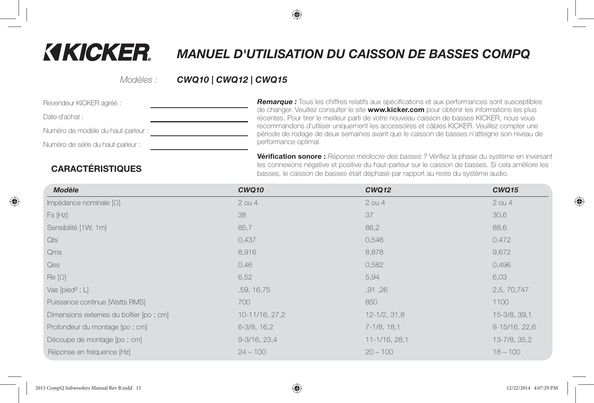# **KIKICKER.**

# *MANUEL D'UTILISATION DU CAISSON DE BASSES COMPQ*

Modèles :

# *CWQ10 | CWQ12 | CWQ15*

| Revendeur KICKER agréé :           | <b>Remarque :</b> Tous les chiffre                               |  |  |
|------------------------------------|------------------------------------------------------------------|--|--|
| Date d'achat :                     | de changer. Veuillez consulte<br>récentes. Pour tirer le meilleu |  |  |
| Numéro de modèle du haut-parleur : | recommandons d'utiliser unio<br>période de rodage de deux s      |  |  |
| Numéro de série du haut-parleur :  | performance optimal.                                             |  |  |
|                                    | $Wórifiontion conora : Dáno$                                     |  |  |

es relatifs aux spécifications et aux performances sont susceptibles er le site **www.kicker.com** pour obtenir les informations les plus ur parti de votre nouveau caisson de basses KICKER, nous vous quement les accessoires et câbles KICKER. Veuillez compter une semaines avant que le caisson de basses n'atteigne son niveau de

Vérification sonore : Réponse médiocre des basses ? Vérifiez la phase du système en inversant les connexions négative et positive du haut-parleur sur le caisson de basses. Si cela améliore les basses, le caisson de basses était déphasé par rapport au reste du système audio.

# **CARACTÉRISTIQUES**

| <b>Modèle</b>                            | CWQ10             | <b>CWQ12</b>  | <b>CWQ15</b>  |
|------------------------------------------|-------------------|---------------|---------------|
| Impédance nominale $[\Omega]$            | $2$ ou $4$        | $2$ ou $4$    | $2$ ou $4$    |
| Fs [Hz]                                  | 38                | 37            | 30,6          |
| Sensibilité [1W, 1m]                     | 85,7              | 86,2          | 88,6          |
| Qts                                      | 0,437             | 0,546         | 0,472         |
| Qms                                      | 8,916             | 8,878         | 9,672         |
| Qes                                      | 0,46              | 0,582         | 0,496         |
| $\text{Re}[\Omega]$                      | 6,52              | 5,94          | 6,03          |
| Vas [pied $3$ ; L]                       | ,59, 16, 75       | ,91,26        | 2,5, 70, 747  |
| Puissance continue [Watts RMS]           | 700               | 850           | 1100          |
| Dimensions externes du boîtier [po ; cm] | 10-11/16, 27,2    | 12-1/2, 31,8  | 15-3/8, 39,1  |
| Profondeur du montage [po ; cm]          | $6-3/8, 16, 2$    | $7-1/8, 18,1$ | 8-15/16, 22,6 |
| Découpe de montage [po ; cm]             | $9 - 3/16$ , 23,4 | 11-1/16, 28,1 | 13-7/8, 35,2  |
| Réponse en fréquence [Hz]                | $24 - 100$        | $20 - 100$    | $18 - 100$    |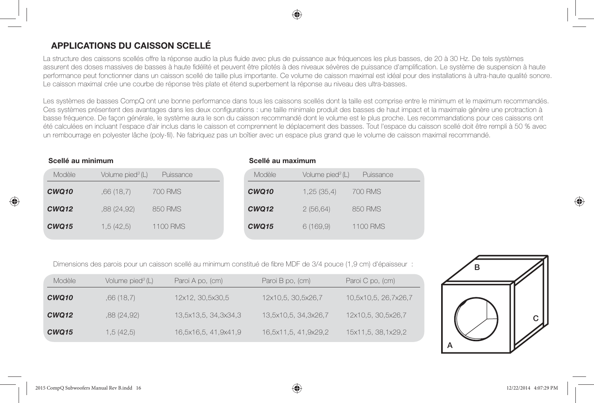

# **APPLICATIONS DU CAISSON SCELLÉ**

La structure des caissons scellés offre la réponse audio la plus fluide avec plus de puissance aux fréquences les plus basses, de 20 à 30 Hz. De tels systèmes assurent des doses massives de basses à haute fidélité et peuvent être pilotés à des niveaux sévères de puissance d'amplification. Le système de suspension à haute performance peut fonctionner dans un caisson scellé de taille plus importante. Ce volume de caisson maximal est idéal pour des installations à ultra-haute qualité sonore. Le caisson maximal crée une courbe de réponse très plate et étend superbement la réponse au niveau des ultra-basses.

Les systèmes de basses CompQ ont une bonne performance dans tous les caissons scellés dont la taille est comprise entre le minimum et le maximum recommandés. Ces systèmes présentent des avantages dans les deux configurations : une taille minimale produit des basses de haut impact et la maximale génère une protraction à basse fréquence. De façon générale, le système aura le son du caisson recommandé dont le volume est le plus proche. Les recommandations pour ces caissons ont été calculées en incluant l'espace d'air inclus dans le caisson et comprennent le déplacement des basses. Tout l'espace du caisson scellé doit être rempli à 50 % avec un rembourrage en polyester lâche (poly-fil). Ne fabriquez pas un boîtier avec un espace plus grand que le volume de caisson maximal recommandé.

| Scellé au minimum |                              | Scellé au maximum |                   |                              |                |
|-------------------|------------------------------|-------------------|-------------------|------------------------------|----------------|
| Modèle            | Volume pied <sup>3</sup> (L) | Puissance         | Modèle            | Volume pied <sup>3</sup> (L) | Puissance      |
| CWQ10             | ,66(18,7)                    | 700 RMS           | CWQ <sub>10</sub> | 1,25(35,4)                   | <b>700 RMS</b> |
| <b>CWQ12</b>      | ,88(24,92)                   | <b>850 RMS</b>    | <b>CWQ12</b>      | 2(56,64)                     | <b>850 RMS</b> |
| <b>CWQ15</b>      | 1,5(42,5)                    | 1100 RMS          | <b>CWQ15</b>      | 6(169,9)                     | 1100 RMS       |

Dimensions des parois pour un caisson scellé au minimum constitué de fibre MDF de 3/4 pouce (1,9 cm) d'épaisseur :

| Modèle            | Volume pied <sup>3</sup> (L) | Paroi A po, (cm)     | Paroi B po, (cm)     | Paroi C po, (cm)     |
|-------------------|------------------------------|----------------------|----------------------|----------------------|
| CWQ <sub>10</sub> | .66 (18,7)                   | 12x12, 30,5x30,5     | 12x10,5, 30,5x26,7   | 10,5x10,5, 26,7x26,7 |
| CWQ12             | ,88 (24,92)                  | 13,5x13,5, 34,3x34,3 | 13,5x10,5, 34,3x26,7 | 12x10,5, 30,5x26,7   |
| CWQ <sub>15</sub> | 1,5(42,5)                    | 16,5x16,5, 41,9x41,9 | 16,5x11,5, 41,9x29,2 | 15x11,5, 38, 1x29, 2 |

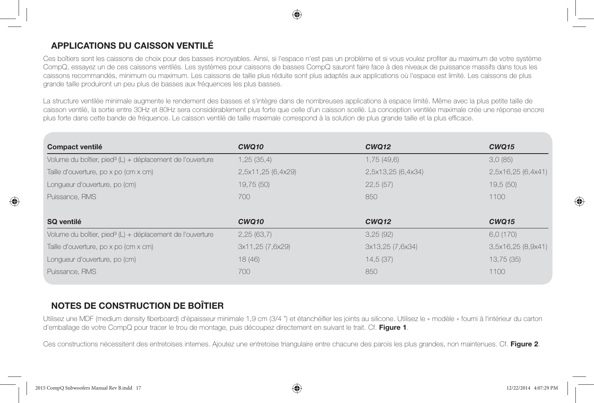

# **APPLICATIONS DU CAISSON VENTILÉ**

Ces boîtiers sont les caissons de choix pour des basses incroyables. Ainsi, si l'espace n'est pas un problème et si vous voulez profiter au maximum de votre système CompQ, essayez un de ces caissons ventilés. Les systèmes pour caissons de basses CompQ sauront faire face à des niveaux de puissance massifs dans tous les caissons recommandés, minimum ou maximum. Les caissons de taille plus réduite sont plus adaptés aux applications où l'espace est limité. Les caissons de plus grande taille produiront un peu plus de basses aux fréquences les plus basses.

La structure ventilée minimale augmente le rendement des basses et s'intègre dans de nombreuses applications à espace limité. Même avec la plus petite taille de caisson ventilé, la sortie entre 30Hz et 80Hz sera considérablement plus forte que celle d'un caisson scellé. La conception ventilée maximale crée une réponse encore plus forte dans cette bande de fréquence. Le caisson ventilé de taille maximale correspond à la solution de plus grande taille et la plus efficace.

| <b>Compact ventilé</b>                                                | CWQ <sub>10</sub>  | <b>CWQ12</b>       | <b>CWQ15</b>       |
|-----------------------------------------------------------------------|--------------------|--------------------|--------------------|
| Volume du boîtier, pied <sup>3</sup> (L) + déplacement de l'ouverture | 1,25(35,4)         | 1,75(49,6)         | 3.0(85)            |
| Taille d'ouverture, po x po (cm x cm)                                 | 2,5x11,25 (6,4x29) | 2,5x13,25 (6,4x34) | 2,5x16,25 (6,4x41) |
| Longueur d'ouverture, po (cm)                                         | 19,75 (50)         | 22,5(57)           | 19,5(50)           |
| Puissance, RMS                                                        | 700                | 850                | 1100               |
|                                                                       |                    |                    |                    |
| SQ ventilé                                                            | CWQ <sub>10</sub>  | <b>CWQ12</b>       | <b>CWQ15</b>       |
| Volume du boîtier, pied <sup>3</sup> (L) + déplacement de l'ouverture | 2,25(63,7)         | 3,25(92)           | 6.0(170)           |
| Taille d'ouverture, po x po (cm x cm)                                 | 3x11,25 (7,6x29)   | 3x13,25 (7,6x34)   | 3,5x16,25 (8,9x41) |
| Longueur d'ouverture, po (cm)                                         | 18(46)             | 14,5(37)           | 13,75(35)          |
| Puissance, RMS                                                        | 700                | 850                | 1100               |

# **NOTES DE CONSTRUCTION DE BOÎTIER**

Utilisez une MDF (medium density fiberboard) d'épaisseur minimale 1.9 cm (3/4 ") et étanchéifier les joints au silicone. Utilisez le « modèle » fourni à l'intérieur du carton d'emballage de votre CompQ pour tracer le trou de montage, puis découpez directement en suivant le trait. Cf. **Figure 1**.

Ces constructions nécessitent des entretoises internes. Ajoutez une entretoise triangulaire entre chacune des parois les plus grandes, non maintenues. Cf. **Figure 2**.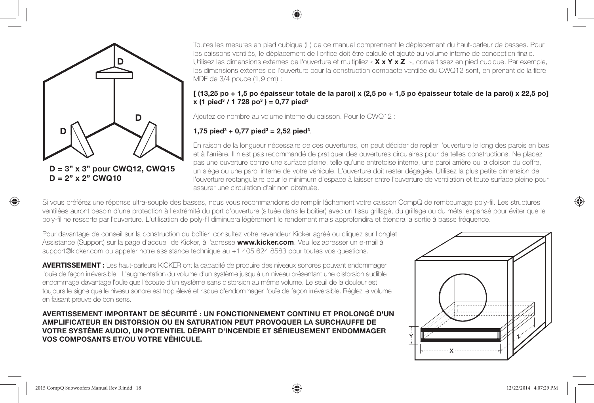

Toutes les mesures en pied cubique (L) de ce manuel comprennent le déplacement du haut-parleur de basses. Pour les caissons ventilés, le déplacement de l'orifice doit être calculé et ajouté au volume interne de conception finale. Utilisez les dimensions externes de l'ouverture et multipliez « **X x Y x Z** », convertissez en pied cubique. Par exemple, les dimensions externes de l'ouverture pour la construction compacte ventilée du CWQ12 sont, en prenant de la fibre MDF de 3/4 pouce (1,9 cm) :

#### **[ (13,25 po + 1,5 po épaisseur totale de la paroi) x (2,5 po + 1,5 po épaisseur totale de la paroi) x 22,5 po] x (1 pied3 / 1 728 po3 ) = 0,77 pied3**

Ajoutez ce nombre au volume interne du caisson. Pour le CWQ12 :

#### **1,75 pied3 + 0,77 pied3 = 2,52 pied3** .

En raison de la longueur nécessaire de ces ouvertures, on peut décider de replier l'ouverture le long des parois en bas et à l'arrière. Il n'est pas recommandé de pratiquer des ouvertures circulaires pour de telles constructions. Ne placez pas une ouverture contre une surface pleine, telle qu'une entretoise interne, une paroi arrière ou la cloison du coffre, un siège ou une paroi interne de votre véhicule. L'ouverture doit rester dégagée. Utilisez la plus petite dimension de l'ouverture rectangulaire pour le minimum d'espace à laisser entre l'ouverture de ventilation et toute surface pleine pour assurer une circulation d'air non obstruée.

Si vous préférez une réponse ultra-souple des basses, nous vous recommandons de remplir lâchement votre caisson CompQ de rembourrage poly-fil. Les structures ventilées auront besoin d'une protection à l'extrémité du port d'ouverture (située dans le boîtier) avec un tissu grillagé, du grillage ou du métal expansé pour éviter que le poly-fil ne ressorte par l'ouverture. L'utilisation de poly-fil diminuera légèrement le rendement mais approfondira et étendra la sortie à basse fréquence.

Pour davantage de conseil sur la construction du boîtier, consultez votre revendeur Kicker agréé ou cliquez sur l'onglet Assistance (Support) sur la page d'accueil de Kicker, à l'adresse **www.kicker.com**. Veuillez adresser un e-mail à support@kicker.com ou appeler notre assistance technique au +1 405 624 8583 pour toutes vos questions.

**AVERTISSEMENT :** Les haut-parleurs KICKER ont la capacité de produire des niveaux sonores pouvant endommager l'ouïe de façon irréversible ! L'augmentation du volume d'un système jusqu'à un niveau présentant une distorsion audible endommage davantage l'ouïe que l'écoute d'un système sans distorsion au même volume. Le seuil de la douleur est toujours le signe que le niveau sonore est trop élevé et risque d'endommager l'ouïe de façon irréversible. Réglez le volume en faisant preuve de bon sens.

**AVERTISSEMENT IMPORTANT DE SÉCURITÉ : UN FONCTIONNEMENT CONTINU ET PROLONGÉ D'UN AMPLIFICATEUR EN DISTORSION OU EN SATURATION PEUT PROVOQUER LA SURCHAUFFE DE VOTRE SYSTÈME AUDIO, UN POTENTIEL DÉPART D'INCENDIE ET SÉRIEUSEMENT ENDOMMAGER VOS COMPOSANTS ET/OU VOTRE VÉHICULE.<sup>Y</sup>**



⊕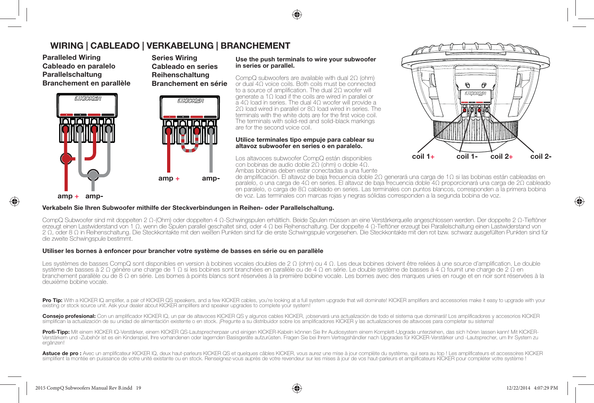**WIRING | CABLEADO | VERKABELUNG | BRANCHEMENT Series Wiring**

> **Cableado en seriesReihenschaltung**

**Paralleled Wiring Cableado en paralelo Parallelschaltung Branchement en parallèle**

KIKICKER

afianafia

**amp + amp-**



#### **Use the push terminals to wire your subwoofer in series or parallel.**

CompQ subwoofers are available with dual 2Ω (ohm) or dual 4Ω voice coils. Both coils must be connected to a source of amplification. The dual 2Ω woofer will generate a 1Ω load if the coils are wired in parallel or a 4Ω load in series. The dual 4Ω woofer will provide a 2Ω load wired in parallel or 8Ω load wired in series. The terminals with the white dots are for the first voice coil. The terminals with solid-red and solid-black markings are for the second voice coil.

#### **Utilice terminales tipo empuje para cablear su altavoz subwoofer en series o en paralelo.**

Los altavoces subwoofer CompQ están disponibles con bobinas de audio doble 2Ω (ohm) o doble 4Ω. Ambas bobinas deben estar conectadas a una fuente



de amplificación. El altavoz de baja frecuencia doble 2Ω generará una carga de 1Ω si las bobinas están cableadas en paralelo, o una carga de 4Ω en series. El altavoz de baja frecuencia doble 4Ω proporcionará una carga de 2Ω cableado en paralelo, o carga de 8Ω cableado en series. Las terminales con puntos blancos, corresponden a la primera bobina de voz. Las terminales con marcas rojas y negras sólidas corresponden a la segunda bobina de voz.

#### **Verkabeln Sie Ihren Subwoofer mithilfe der Steckverbindungen in Reihen- oder Parallelschaltung.**

CompQ Subwoofer sind mit doppelten 2 Ω-(Ohm) oder doppelten 4 Ω-Schwingspulen erhältlich. Beide Spulen müssen an eine Verstärkerquelle angeschlossen werden. Der doppelte 2 Ω-Tieftöner erzeugt einen Lastwiderstand von 1 Ω, wenn die Spulen parallel geschaltet sind, oder 4 Ω bei Reihenschaltung. Der doppelte 4 Ω-Tieftöner erzeugt bei Parallelschaltung einen Lastwiderstand von 2 Ω, oder 8 Ω in Reihenschaltung. Die Steckkontakte mit den weißen Punkten sind für die erste Schwingspule vorgesehen. Die Steckkontakte mit den rot bzw. schwarz ausgefüllten Punkten sind für die zweite Schwingspule bestimmt.

#### **Utiliser les bornes à enfoncer pour brancher votre système de basses en série ou en parallèle**

Les systèmes de basses CompQ sont disponibles en version à bobines vocales doubles de 2 Ω (ohm) ou 4 Ω. Les deux bobines doivent être reliées à une source d'amplification. Le double système de basses à 2 Ω génère une charge de 1 Ω si les bobines sont branchées en parallèle ou de 4 Ω en série. Le double système de basses à 4 Ω fournit une charge de 2 Ω en branchement parallèle ou de 8 Ω en série. Les bornes à points blancs sont réservées à la première bobine vocale. Les bornes avec des marques unies en rouge et en noir sont réservées à la deuxième bobine vocale.

Pro Tip: With a KICKER IQ amplifier, a pair of KICKER QS speakers, and a few KICKER cables, you're looking at a full system upgrade that will dominate! KICKER amplifiers and accessories make it easy to upgrade with your existing or stock source unit. Ask your dealer about KICKER amplifiers and speaker upgrades to complete your system!

Consejo profesional: Con un amplificador KICKER IQ, un par de altavoces KICKER QS y algunos cables KICKER, ¡observará una actualización de todo el sistema que dominará! Los amplificadores y accesorios KICKER simplifican la actualización de su unidad de alimentación existente o en stock. ¡Pregunte a su distribuidor sobre los amplificadores KICKER y las actualizaciones de altavoces para completar su sistema!

Profi-Tipp: Mit einem KICKER IQ-Verstärker, einem KICKER QS-Lautsprecherpaar und einigen KICKER-Kabeln können Sie Ihr Audiosystem einem Komplett-Upgrade unterziehen, das sich hören lassen kann! Mit KICKER-Verstärkern und -Zubehör ist es ein Kinderspiel, Ihre vorhandenen oder lagernden Basisgeräte aufzurüsten. Fragen Sie bei Ihrem Vertragshändler nach Upgrades für KICKER-Verstärker und -Lautsprecher, um Ihr System zu ergänzen!

Astuce de pro : Avec un amplificateur KICKER IQ, deux haut-parleurs KICKER QS et quelques câbles KICKER, vous aurez une mise à jour complète du système, qui sera au top ! Les amplificateurs et accessoires KICKER simplifient la montée en puissance de votre unité existante ou en stock. Renseignez-vous auprès de votre revendeur sur les mises à jour de vos haut-parleurs et amplificateurs KICKER pour compléter votre système !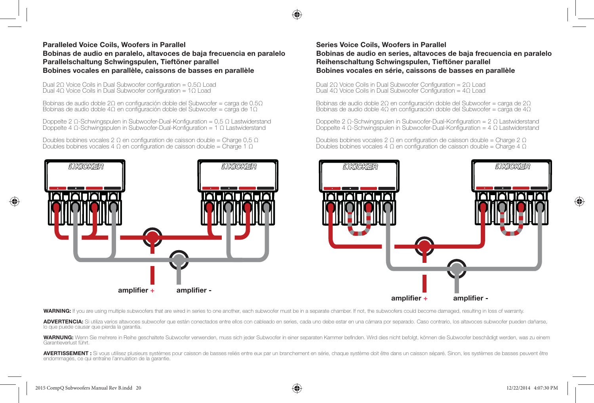#### **Paralleled Voice Coils, Woofers in Parallel Bobinas de audio en paralelo, altavoces de baja frecuencia en paralelo Parallelschaltung Schwingspulen, Tieftöner parallel Bobines vocales en parallèle, caissons de basses en parallèle**

Dual 2Ω Voice Coils in Dual Subwoofer configuration =  $0.5Ω$  Load Dual 4Ω Voice Coils in Dual Subwoofer configuration = 1Ω Load

Bobinas de audio doble 2Ω en configuración doble del Subwoofer = carga de 0.5Ω Bobinas de audio doble 4 $\Omega$  en configuración doble del Subwoofer = carga de 1 $\Omega$ 

Doppelte 2 Ω-Schwingspulen in Subwoofer-Dual-Konfiguration = 0.5 Ω Lastwiderstand Doppelte 4 Ω-Schwingspulen in Subwoofer-Dual-Konfiguration = 1 Ω Lastwiderstand

Doubles bobines vocales 2  $\Omega$  en configuration de caisson double = Charge 0,5  $\Omega$ Doubles bobines vocales 4  $\Omega$  en configuration de caisson double = Charge 1  $\Omega$ 

#### **Series Voice Coils, Woofers in Parallel Bobinas de audio en series, altavoces de baja frecuencia en paralelo Reihenschaltung Schwingspulen, Tieftöner parallel Bobines vocales en série, caissons de basses en parallèle**

Dual 2Ω Voice Coils in Dual Subwoofer Configuration = 2Ω Load Dual 4Ω Voice Coils in Dual Subwoofer Configuration = 4Ω Load

Bobinas de audio doble 2Ω en configuración doble del Subwoofer = carga de 2Ω Bobinas de audio doble 4 $\Omega$  en configuración doble del Subwoofer = carga de 4 $\Omega$ 

Doppelte 2 Ω-Schwingspulen in Subwoofer-Dual-Konfiguration = 2 Ω Lastwiderstand Doppelte 4 Ω-Schwingspulen in Subwoofer-Dual-Konfiguration = 4 Ω Lastwiderstand

Doubles bobines vocales 2 Ω en configuration de caisson double = Charge 2 Ω Doubles bobines vocales 4 Ω en configuration de caisson double = Charge 4 Ω



**WARNING:** If you are using multiple subwoofers that are wired in series to one another, each subwoofer must be in a separate chamber. If not, the subwoofers could become damaged, resulting in loss of warranty.

**ADVERTENCIA:** Si utiliza varios altavoces subwoofer que están conectados entre ellos con cableado en series, cada uno debe estar en una cámara por separado. Caso contrario, los altavoces subwoofer pueden dañarse, lo que puede causar que pierda la garantía.

WARNUNG: Wenn Sie mehrere in Reihe geschaltete Subwoofer verwenden, muss sich jeder Subwoofer in einer separaten Kammer befinden. Wird dies nicht befolgt, können die Subwoofer beschädigt werden, was zu einem Garantieverlust führt.

**AVERTISSEMENT :** Si vous utilisez plusieurs systèmes pour caisson de basses reliés entre eux par un branchement en série, chaque système doit être dans un caisson séparé. Sinon, les systèmes de basses peuvent être endommagés, ce qui entraîne l'annulation de la garantie.

⊕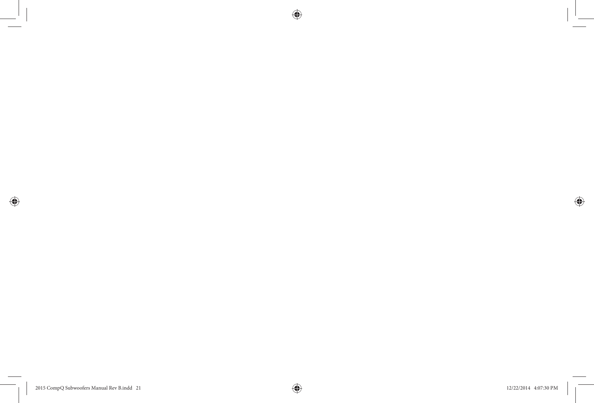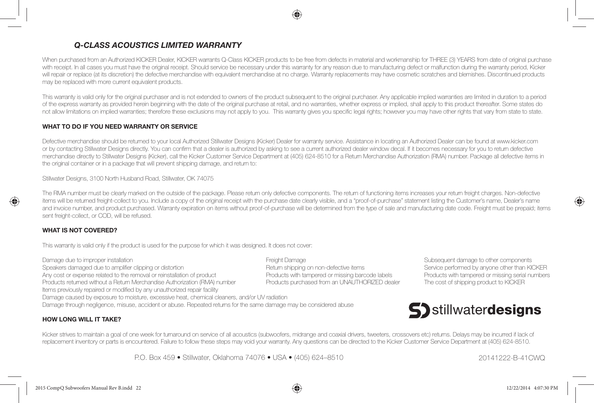#### *Q-CLASS ACOUSTICS LIMITED WARRANTY*

When purchased from an Authorized KICKER Dealer, KICKER warrants Q-Class KICKER products to be free from defects in material and workmanship for THREE (3) YEARS from date of original purchase with receipt. In all cases you must have the original receipt. Should service be necessary under this warranty for any reason due to manufacturing defect or malfunction during the warranty period, Kicker will repair or replace (at its discretion) the defective merchandise with equivalent merchandise at no charge. Warranty replacements may have cosmetic scratches and blemishes. Discontinued products may be replaced with more current equivalent products.

This warranty is valid only for the original purchaser and is not extended to owners of the product subsequent to the original purchaser. Any applicable implied warranties are limited in duration to a period of the express warranty as provided herein beginning with the date of the original purchase at retail, and no warranties, whether express or implied, shall apply to this product thereafter. Some states do not allow limitations on implied warranties; therefore these exclusions may not apply to you. This warranty gives you specific legal rights; however you may have other rights that vary from state to state.

#### **WHAT TO DO IF YOU NEED WARRANTY OR SERVICE**

Defective merchandise should be returned to your local Authorized Stillwater Designs (Kicker) Dealer for warranty service. Assistance in locating an Authorized Dealer can be found at www.kicker.com or by contacting Stillwater Designs directly. You can confirm that a dealer is authorized by asking to see a current authorized dealer window decal. If it becomes necessary for you to return defective merchandise directly to Stillwater Designs (Kicker), call the Kicker Customer Service Department at (405) 624-8510 for a Return Merchandise Authorization (RMA) number. Package all defective items in the original container or in a package that will prevent shipping damage, and return to:

Stillwater Designs, 3100 North Husband Road, Stillwater, OK 74075

The RMA number must be clearly marked on the outside of the package. Please return only defective components. The return of functioning items increases your return freight charges. Non-defective items will be returned freight-collect to you. Include a copy of the original receipt with the purchase date clearly visible, and a "proof-of-purchase" statement listing the Customer's name, Dealer's name and invoice number, and product purchased. Warranty expiration on items without proof-of-purchase will be determined from the type of sale and manufacturing date code. Freight must be prepaid; items sent freight-collect, or COD, will be refused.

#### **WHAT IS NOT COVERED?**

♠

This warranty is valid only if the product is used for the purpose for which it was designed. It does not cover:

Damage due to improper installation extension to the state of the state of the Subsequent damage to other components Speakers damaged due to amplifier clipping or distortion exclusive to the Return shipping on non-defective items Service performed by anyone other than KICKER Any cost or expense related to the removal or reinstallation of product Products with tampered or missing barcode labels Products with tampered or missing serial numbers Products returned without a Return Merchandise Authorization (RMA) number Products purchased from an UNAUTHORIZED dealer The cost of shipping product to KICKER Items previously repaired or modified by any unauthorized repair facility Damage caused by exposure to moisture, excessive heat, chemical cleaners, and/or UV radiation Damage through negligence, misuse, accident or abuse. Repeated returns for the same damage may be considered abuse



#### **HOW LONG WILL IT TAKE?**

Kicker strives to maintain a goal of one week for turnaround on service of all acoustics (subwoofers, midrange and coaxial drivers, tweeters, crossovers etc) returns. Delays may be incurred if lack of replacement inventory or parts is encountered. Failure to follow these steps may void your warranty. Any questions can be directed to the Kicker Customer Service Department at (405) 624-8510.

P.O. Box 459 • Stillwater, Oklahoma 74076 • USA • (405) 624–8510 20141222-B-41CWQ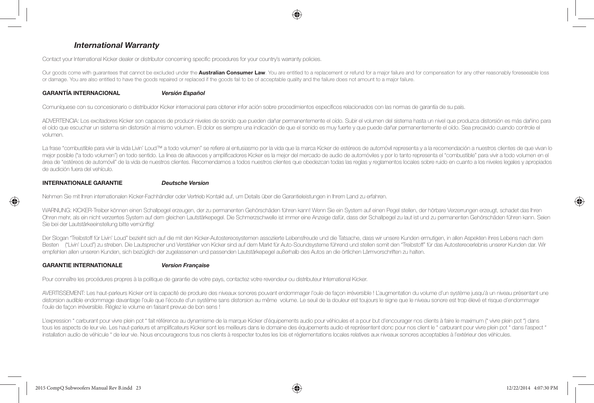#### *International Warranty*

Contact your International Kicker dealer or distributor concerning specific procedures for your country's warranty policies.

Our goods come with guarantees that cannot be excluded under the **Australian Consumer Law**. You are entitled to a replacement or refund for a major failure and for compensation for any other reasonably foreseeable loss or damage. You are also entitled to have the goods repaired or replaced if the goods fail to be of acceptable quality and the failure does not amount to a major failure.

#### **GARANTÍA INTERNACIONAL** *Versión Español*

Comuníquese con su concesionario o distribuidor Kicker internacional para obtener infor ación sobre procedimientos específicos relacionados con las normas de garantía de su país.

ADVERTENCIA: Los excitadores Kicker son capaces de producir niveles de sonido que pueden dañar permanentemente el oído. Subir el volumen del sistema hasta un nivel que produzca distorsión es más dañino para el oído que escuchar un sistema sin distorsión al mismo volumen. El dolor es siempre una indicación de que el sonido es muy fuerte y que puede dañar permanentemente el oído. Sea precavido cuando controle el volumen.

La frase "combustible para vivir la vida Livin' Loud™ a todo volumen" se refiere al entusiasmo por la vida que la marca Kicker de estéreos de automóvil representa y a la recomendación a nuestros clientes de que vivan lo mejor posible ("a todo volumen") en todo sentido. La línea de altavoces y amplificadores Kicker es la mejor del mercado de automóviles y por lo tanto representa el "combustible" para vivir a todo volumen en el área de "estéreos de automóvil" de la vida de nuestros clientes. Recomendamos a todos nuestros clientes que obedezcan todas las reglas y reglamentos locales sobre ruido en cuanto a los niveles legales y apropiados de audición fuera del vehículo.

#### **INTERNATIONALE GARANTIE** *Deutsche Version*

Nehmen Sie mit Ihren internationalen Kicker-Fachhändler oder Vertrieb Kontakt auf, um Details über die Garantieleistungen in Ihrem Land zu erfahren.

WARNUNG: KICKER-Treiber können einen Schallpegel erzeugen, der zu permanenten Gehörschäden führen kann! Wenn Sie ein System auf einen Pegel stellen, der hörbare Verzerrungen erzeugt, schadet das Ihren Ohren mehr, als ein nicht verzerrtes System auf dem gleichen Lautstärkepegel. Die Schmerzschwelle ist immer eine Anzeige dafür, dass der Schallpegel zu laut ist und zu permanenten Gehörschäden führen kann. Seien Sie bei der Lautstärkeeinstellung bitte vernünftig!

Der Slogan "Treibstoff für Livin' Loud" bezieht sich auf die mit den Kicker-Autostereosystemen assoziierte Lebensfreude und die Tatsache, dass wir unsere Kunden ermutigen, in allen Aspekten ihres Lebens nach dem Besten ("Livin' Loud") zu streben. Die Lautsprecher und Verstärker von Kicker sind auf dem Markt für Auto-Soundsysteme führend und stellen somit den "Treibstoff" für das Autostereoerlebnis unserer Kunden dar. Wir empfehlen allen unseren Kunden, sich bezüglich der zugelassenen und passenden Lautstärkepegel außerhalb des Autos an die örtlichen Lärmvorschriften zu halten.

#### **GARANTIE INTERNATIONALE***Version Française*

♠

Pour connaître les procédures propres à la politique de garantie de votre pays, contactez votre revendeur ou distributeur International Kicker.

AVERTISSEMENT: Les haut-parleurs Kicker ont la capacité de produire des niveaux sonores pouvant endommager l'ouïe de façon irréversible ! L'augmentation du volume d'un système jusqu'à un niveau présentant une distorsion audible endommage davantage l'ouïe que l'écoute d'un système sans distorsion au même volume. Le seuil de la douleur est toujours le signe que le niveau sonore est trop élevé et risque d'endommager l'ouïe de façon irréversible. Réglez le volume en faisant prevue de bon sens !

L'expression " carburant pour vivre plein pot " fait référence au dynamisme de la marque Kicker d'équipements audio pour véhicules et a pour but d'encourager nos clients à faire le maximum (" vivre plein pot ") dans tous les aspects de leur vie. Les haut-parleurs et amplificateurs Kicker sont les meilleurs dans le domaine des équipements audio et représentent donc pour nos client le " carburant pour vivre plein pot " dans l'aspect " installation audio de véhicule " de leur vie. Nous encourageons tous nos clients à respecter toutes les lois et réglementations locales relatives aux niveaux sonores acceptables à l'extérieur des véhicules.